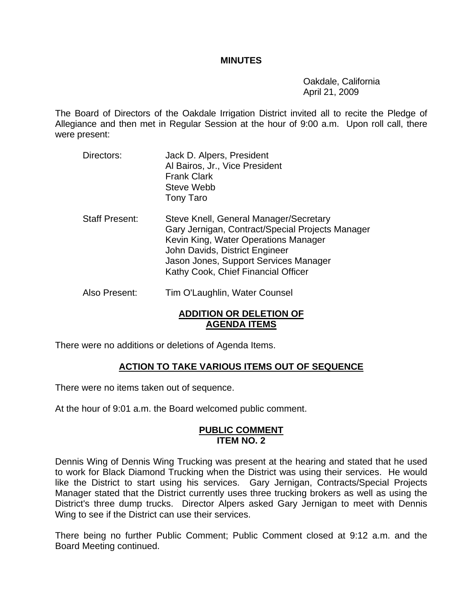#### **MINUTES**

 Oakdale, California April 21, 2009

The Board of Directors of the Oakdale Irrigation District invited all to recite the Pledge of Allegiance and then met in Regular Session at the hour of 9:00 a.m. Upon roll call, there were present:

Directors: Jack D. Alpers, President Al Bairos, Jr., Vice President Frank Clark Steve Webb Tony Taro Staff Present: Steve Knell, General Manager/Secretary Gary Jernigan, Contract/Special Projects Manager Kevin King, Water Operations Manager John Davids, District Engineer Jason Jones, Support Services Manager Kathy Cook, Chief Financial Officer Also Present: Tim O'Laughlin, Water Counsel

#### **ADDITION OR DELETION OF AGENDA ITEMS**

There were no additions or deletions of Agenda Items.

#### **ACTION TO TAKE VARIOUS ITEMS OUT OF SEQUENCE**

There were no items taken out of sequence.

At the hour of 9:01 a.m. the Board welcomed public comment.

#### **PUBLIC COMMENT ITEM NO. 2**

Dennis Wing of Dennis Wing Trucking was present at the hearing and stated that he used to work for Black Diamond Trucking when the District was using their services. He would like the District to start using his services. Gary Jernigan, Contracts/Special Projects Manager stated that the District currently uses three trucking brokers as well as using the District's three dump trucks. Director Alpers asked Gary Jernigan to meet with Dennis Wing to see if the District can use their services.

There being no further Public Comment; Public Comment closed at 9:12 a.m. and the Board Meeting continued.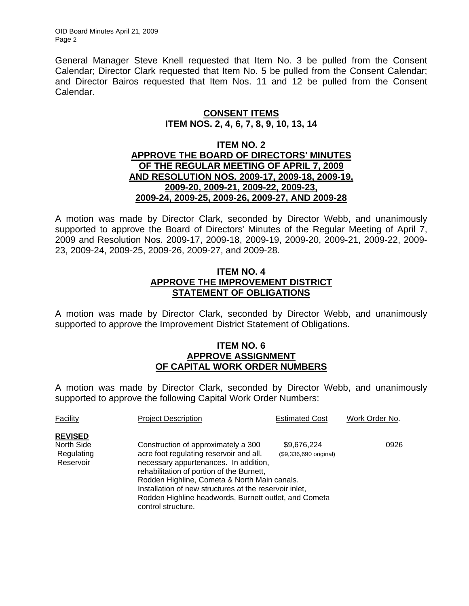OID Board Minutes April 21, 2009 Page 2

General Manager Steve Knell requested that Item No. 3 be pulled from the Consent Calendar; Director Clark requested that Item No. 5 be pulled from the Consent Calendar; and Director Bairos requested that Item Nos. 11 and 12 be pulled from the Consent Calendar.

#### **CONSENT ITEMS ITEM NOS. 2, 4, 6, 7, 8, 9, 10, 13, 14**

#### **ITEM NO. 2 APPROVE THE BOARD OF DIRECTORS' MINUTES OF THE REGULAR MEETING OF APRIL 7, 2009 AND RESOLUTION NOS. 2009-17, 2009-18, 2009-19, 2009-20, 2009-21, 2009-22, 2009-23, 2009-24, 2009-25, 2009-26, 2009-27, AND 2009-28**

A motion was made by Director Clark, seconded by Director Webb, and unanimously supported to approve the Board of Directors' Minutes of the Regular Meeting of April 7, 2009 and Resolution Nos. 2009-17, 2009-18, 2009-19, 2009-20, 2009-21, 2009-22, 2009- 23, 2009-24, 2009-25, 2009-26, 2009-27, and 2009-28.

## **ITEM NO. 4 APPROVE THE IMPROVEMENT DISTRICT STATEMENT OF OBLIGATIONS**

A motion was made by Director Clark, seconded by Director Webb, and unanimously supported to approve the Improvement District Statement of Obligations.

#### **ITEM NO. 6 APPROVE ASSIGNMENT OF CAPITAL WORK ORDER NUMBERS**

A motion was made by Director Clark, seconded by Director Webb, and unanimously supported to approve the following Capital Work Order Numbers:

| Facility                                                | <b>Project Description</b>                                                                                                                                                                                           | <b>Estimated Cost</b>                 | Work Order No. |
|---------------------------------------------------------|----------------------------------------------------------------------------------------------------------------------------------------------------------------------------------------------------------------------|---------------------------------------|----------------|
| <b>REVISED</b><br>North Side<br>Regulating<br>Reservoir | Construction of approximately a 300<br>acre foot regulating reservoir and all.<br>necessary appurtenances. In addition,<br>rehabilitation of portion of the Burnett,<br>Rodden Highline, Cometa & North Main canals. | \$9,676,224<br>(\$9,336,690 original) | 0926           |
|                                                         | Installation of new structures at the reservoir inlet,<br>Rodden Highline headwords, Burnett outlet, and Cometa<br>control structure.                                                                                |                                       |                |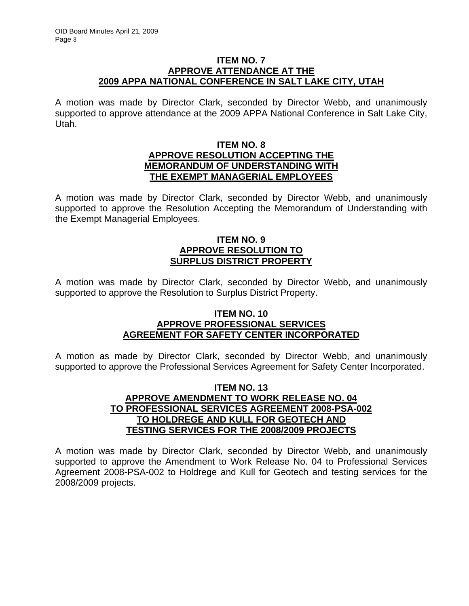#### **ITEM NO. 7 APPROVE ATTENDANCE AT THE 2009 APPA NATIONAL CONFERENCE IN SALT LAKE CITY, UTAH**

A motion was made by Director Clark, seconded by Director Webb, and unanimously supported to approve attendance at the 2009 APPA National Conference in Salt Lake City, Utah.

#### **ITEM NO. 8 APPROVE RESOLUTION ACCEPTING THE MEMORANDUM OF UNDERSTANDING WITH THE EXEMPT MANAGERIAL EMPLOYEES**

A motion was made by Director Clark, seconded by Director Webb, and unanimously supported to approve the Resolution Accepting the Memorandum of Understanding with the Exempt Managerial Employees.

## **ITEM NO. 9 APPROVE RESOLUTION TO SURPLUS DISTRICT PROPERTY**

A motion was made by Director Clark, seconded by Director Webb, and unanimously supported to approve the Resolution to Surplus District Property.

#### **ITEM NO. 10 APPROVE PROFESSIONAL SERVICES AGREEMENT FOR SAFETY CENTER INCORPORATED**

A motion as made by Director Clark, seconded by Director Webb, and unanimously supported to approve the Professional Services Agreement for Safety Center Incorporated.

#### **ITEM NO. 13 APPROVE AMENDMENT TO WORK RELEASE NO. 04 TO PROFESSIONAL SERVICES AGREEMENT 2008-PSA-002 TO HOLDREGE AND KULL FOR GEOTECH AND TESTING SERVICES FOR THE 2008/2009 PROJECTS**

A motion was made by Director Clark, seconded by Director Webb, and unanimously supported to approve the Amendment to Work Release No. 04 to Professional Services Agreement 2008-PSA-002 to Holdrege and Kull for Geotech and testing services for the 2008/2009 projects.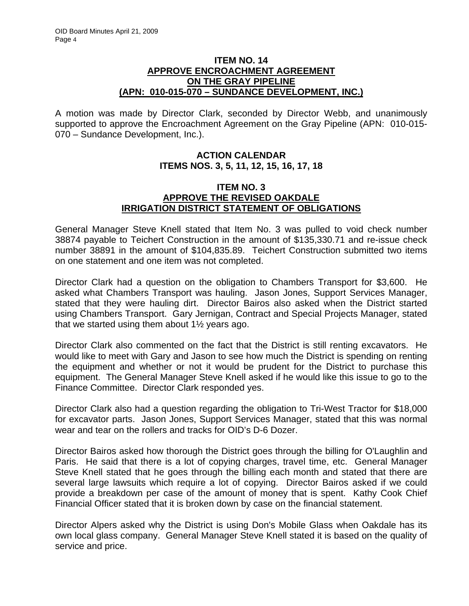#### **ITEM NO. 14 APPROVE ENCROACHMENT AGREEMENT ON THE GRAY PIPELINE (APN: 010-015-070 – SUNDANCE DEVELOPMENT, INC.)**

A motion was made by Director Clark, seconded by Director Webb, and unanimously supported to approve the Encroachment Agreement on the Gray Pipeline (APN: 010-015- 070 – Sundance Development, Inc.).

# **ACTION CALENDAR ITEMS NOS. 3, 5, 11, 12, 15, 16, 17, 18**

#### **ITEM NO. 3 APPROVE THE REVISED OAKDALE IRRIGATION DISTRICT STATEMENT OF OBLIGATIONS**

General Manager Steve Knell stated that Item No. 3 was pulled to void check number 38874 payable to Teichert Construction in the amount of \$135,330.71 and re-issue check number 38891 in the amount of \$104,835.89. Teichert Construction submitted two items on one statement and one item was not completed.

Director Clark had a question on the obligation to Chambers Transport for \$3,600. He asked what Chambers Transport was hauling. Jason Jones, Support Services Manager, stated that they were hauling dirt. Director Bairos also asked when the District started using Chambers Transport. Gary Jernigan, Contract and Special Projects Manager, stated that we started using them about 1½ years ago.

Director Clark also commented on the fact that the District is still renting excavators. He would like to meet with Gary and Jason to see how much the District is spending on renting the equipment and whether or not it would be prudent for the District to purchase this equipment. The General Manager Steve Knell asked if he would like this issue to go to the Finance Committee. Director Clark responded yes.

Director Clark also had a question regarding the obligation to Tri-West Tractor for \$18,000 for excavator parts. Jason Jones, Support Services Manager, stated that this was normal wear and tear on the rollers and tracks for OID's D-6 Dozer.

Director Bairos asked how thorough the District goes through the billing for O'Laughlin and Paris. He said that there is a lot of copying charges, travel time, etc. General Manager Steve Knell stated that he goes through the billing each month and stated that there are several large lawsuits which require a lot of copying. Director Bairos asked if we could provide a breakdown per case of the amount of money that is spent. Kathy Cook Chief Financial Officer stated that it is broken down by case on the financial statement.

Director Alpers asked why the District is using Don's Mobile Glass when Oakdale has its own local glass company. General Manager Steve Knell stated it is based on the quality of service and price.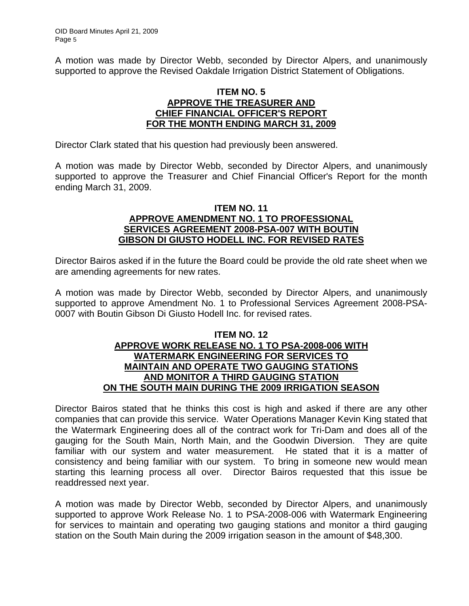A motion was made by Director Webb, seconded by Director Alpers, and unanimously supported to approve the Revised Oakdale Irrigation District Statement of Obligations.

#### **ITEM NO. 5 APPROVE THE TREASURER AND CHIEF FINANCIAL OFFICER'S REPORT FOR THE MONTH ENDING MARCH 31, 2009**

Director Clark stated that his question had previously been answered.

A motion was made by Director Webb, seconded by Director Alpers, and unanimously supported to approve the Treasurer and Chief Financial Officer's Report for the month ending March 31, 2009.

#### **ITEM NO. 11 APPROVE AMENDMENT NO. 1 TO PROFESSIONAL SERVICES AGREEMENT 2008-PSA-007 WITH BOUTIN GIBSON DI GIUSTO HODELL INC. FOR REVISED RATES**

Director Bairos asked if in the future the Board could be provide the old rate sheet when we are amending agreements for new rates.

A motion was made by Director Webb, seconded by Director Alpers, and unanimously supported to approve Amendment No. 1 to Professional Services Agreement 2008-PSA-0007 with Boutin Gibson Di Giusto Hodell Inc. for revised rates.

#### **ITEM NO. 12 APPROVE WORK RELEASE NO. 1 TO PSA-2008-006 WITH WATERMARK ENGINEERING FOR SERVICES TO MAINTAIN AND OPERATE TWO GAUGING STATIONS AND MONITOR A THIRD GAUGING STATION ON THE SOUTH MAIN DURING THE 2009 IRRIGATION SEASON**

Director Bairos stated that he thinks this cost is high and asked if there are any other companies that can provide this service. Water Operations Manager Kevin King stated that the Watermark Engineering does all of the contract work for Tri-Dam and does all of the gauging for the South Main, North Main, and the Goodwin Diversion. They are quite familiar with our system and water measurement. He stated that it is a matter of consistency and being familiar with our system. To bring in someone new would mean starting this learning process all over. Director Bairos requested that this issue be readdressed next year.

A motion was made by Director Webb, seconded by Director Alpers, and unanimously supported to approve Work Release No. 1 to PSA-2008-006 with Watermark Engineering for services to maintain and operating two gauging stations and monitor a third gauging station on the South Main during the 2009 irrigation season in the amount of \$48,300.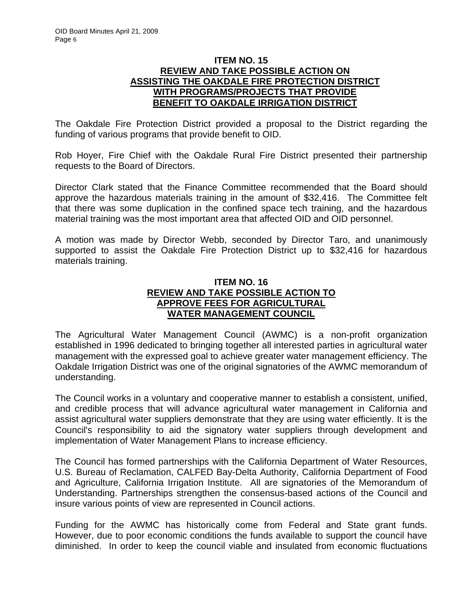#### **ITEM NO. 15 REVIEW AND TAKE POSSIBLE ACTION ON ASSISTING THE OAKDALE FIRE PROTECTION DISTRICT WITH PROGRAMS/PROJECTS THAT PROVIDE BENEFIT TO OAKDALE IRRIGATION DISTRICT**

The Oakdale Fire Protection District provided a proposal to the District regarding the funding of various programs that provide benefit to OID.

Rob Hoyer, Fire Chief with the Oakdale Rural Fire District presented their partnership requests to the Board of Directors.

Director Clark stated that the Finance Committee recommended that the Board should approve the hazardous materials training in the amount of \$32,416. The Committee felt that there was some duplication in the confined space tech training, and the hazardous material training was the most important area that affected OID and OID personnel.

A motion was made by Director Webb, seconded by Director Taro, and unanimously supported to assist the Oakdale Fire Protection District up to \$32,416 for hazardous materials training.

#### **ITEM NO. 16 REVIEW AND TAKE POSSIBLE ACTION TO APPROVE FEES FOR AGRICULTURAL WATER MANAGEMENT COUNCIL**

The Agricultural Water Management Council (AWMC) is a non-profit organization established in 1996 dedicated to bringing together all interested parties in agricultural water management with the expressed goal to achieve greater water management efficiency. The Oakdale Irrigation District was one of the original signatories of the AWMC memorandum of understanding.

The Council works in a voluntary and cooperative manner to establish a consistent, unified, and credible process that will advance agricultural water management in California and assist agricultural water suppliers demonstrate that they are using water efficiently. It is the Council's responsibility to aid the signatory water suppliers through development and implementation of Water Management Plans to increase efficiency.

The Council has formed partnerships with the California Department of Water Resources, U.S. Bureau of Reclamation, CALFED Bay-Delta Authority, California Department of Food and Agriculture, California Irrigation Institute. All are signatories of the Memorandum of Understanding. Partnerships strengthen the consensus-based actions of the Council and insure various points of view are represented in Council actions.

Funding for the AWMC has historically come from Federal and State grant funds. However, due to poor economic conditions the funds available to support the council have diminished. In order to keep the council viable and insulated from economic fluctuations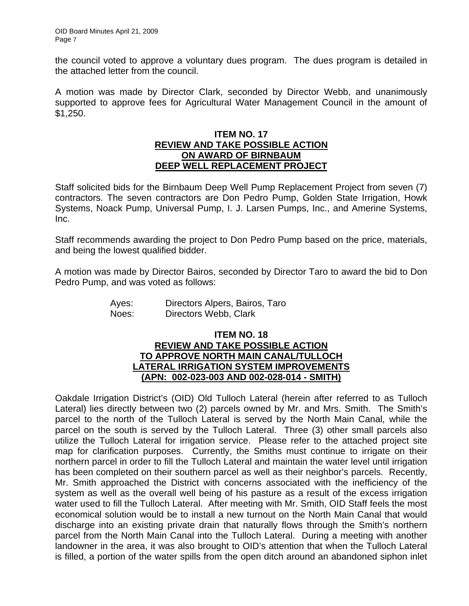the council voted to approve a voluntary dues program. The dues program is detailed in the attached letter from the council.

A motion was made by Director Clark, seconded by Director Webb, and unanimously supported to approve fees for Agricultural Water Management Council in the amount of \$1,250.

#### **ITEM NO. 17 REVIEW AND TAKE POSSIBLE ACTION ON AWARD OF BIRNBAUM DEEP WELL REPLACEMENT PROJECT**

Staff solicited bids for the Birnbaum Deep Well Pump Replacement Project from seven (7) contractors. The seven contractors are Don Pedro Pump, Golden State Irrigation, Howk Systems, Noack Pump, Universal Pump, I. J. Larsen Pumps, Inc., and Amerine Systems, Inc.

Staff recommends awarding the project to Don Pedro Pump based on the price, materials, and being the lowest qualified bidder.

A motion was made by Director Bairos, seconded by Director Taro to award the bid to Don Pedro Pump, and was voted as follows:

| Ayes: | Directors Alpers, Bairos, Taro |
|-------|--------------------------------|
| Noes: | Directors Webb, Clark          |

### **ITEM NO. 18 REVIEW AND TAKE POSSIBLE ACTION TO APPROVE NORTH MAIN CANAL/TULLOCH LATERAL IRRIGATION SYSTEM IMPROVEMENTS (APN: 002-023-003 AND 002-028-014 - SMITH)**

Oakdale Irrigation District's (OID) Old Tulloch Lateral (herein after referred to as Tulloch Lateral) lies directly between two (2) parcels owned by Mr. and Mrs. Smith. The Smith's parcel to the north of the Tulloch Lateral is served by the North Main Canal, while the parcel on the south is served by the Tulloch Lateral. Three (3) other small parcels also utilize the Tulloch Lateral for irrigation service. Please refer to the attached project site map for clarification purposes. Currently, the Smiths must continue to irrigate on their northern parcel in order to fill the Tulloch Lateral and maintain the water level until irrigation has been completed on their southern parcel as well as their neighbor's parcels. Recently, Mr. Smith approached the District with concerns associated with the inefficiency of the system as well as the overall well being of his pasture as a result of the excess irrigation water used to fill the Tulloch Lateral. After meeting with Mr. Smith, OID Staff feels the most economical solution would be to install a new turnout on the North Main Canal that would discharge into an existing private drain that naturally flows through the Smith's northern parcel from the North Main Canal into the Tulloch Lateral. During a meeting with another landowner in the area, it was also brought to OID's attention that when the Tulloch Lateral is filled, a portion of the water spills from the open ditch around an abandoned siphon inlet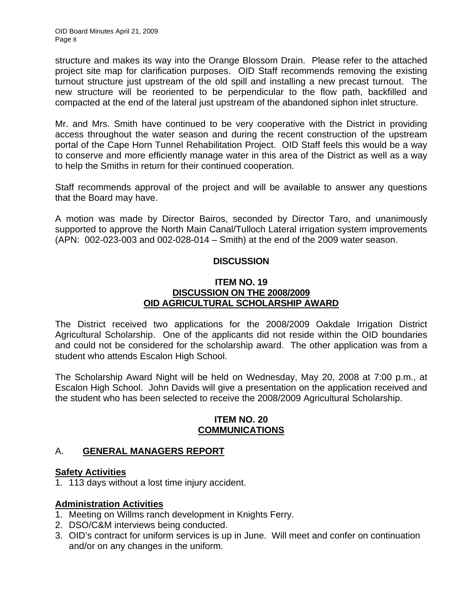structure and makes its way into the Orange Blossom Drain. Please refer to the attached project site map for clarification purposes. OID Staff recommends removing the existing turnout structure just upstream of the old spill and installing a new precast turnout. The new structure will be reoriented to be perpendicular to the flow path, backfilled and compacted at the end of the lateral just upstream of the abandoned siphon inlet structure.

Mr. and Mrs. Smith have continued to be very cooperative with the District in providing access throughout the water season and during the recent construction of the upstream portal of the Cape Horn Tunnel Rehabilitation Project. OID Staff feels this would be a way to conserve and more efficiently manage water in this area of the District as well as a way to help the Smiths in return for their continued cooperation.

Staff recommends approval of the project and will be available to answer any questions that the Board may have.

A motion was made by Director Bairos, seconded by Director Taro, and unanimously supported to approve the North Main Canal/Tulloch Lateral irrigation system improvements (APN: 002-023-003 and 002-028-014 – Smith) at the end of the 2009 water season.

## **DISCUSSION**

#### **ITEM NO. 19 DISCUSSION ON THE 2008/2009 OID AGRICULTURAL SCHOLARSHIP AWARD**

The District received two applications for the 2008/2009 Oakdale Irrigation District Agricultural Scholarship. One of the applicants did not reside within the OID boundaries and could not be considered for the scholarship award. The other application was from a student who attends Escalon High School.

The Scholarship Award Night will be held on Wednesday, May 20, 2008 at 7:00 p.m., at Escalon High School. John Davids will give a presentation on the application received and the student who has been selected to receive the 2008/2009 Agricultural Scholarship.

#### **ITEM NO. 20 COMMUNICATIONS**

# A. **GENERAL MANAGERS REPORT**

#### **Safety Activities**

1. 113 days without a lost time injury accident.

#### **Administration Activities**

- 1. Meeting on Willms ranch development in Knights Ferry.
- 2. DSO/C&M interviews being conducted.
- 3. OID's contract for uniform services is up in June. Will meet and confer on continuation and/or on any changes in the uniform.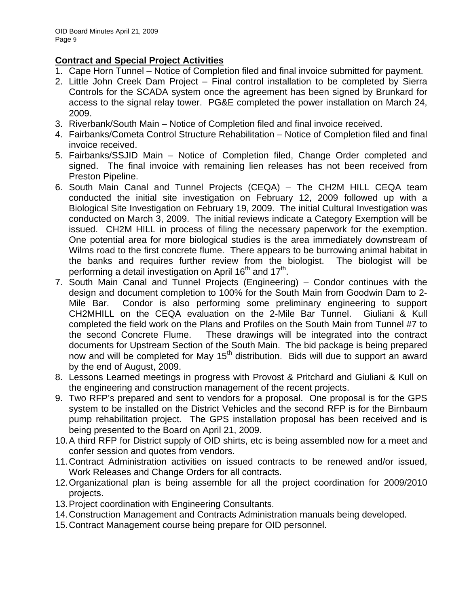# **Contract and Special Project Activities**

- 1. Cape Horn Tunnel Notice of Completion filed and final invoice submitted for payment.
- 2. Little John Creek Dam Project Final control installation to be completed by Sierra Controls for the SCADA system once the agreement has been signed by Brunkard for access to the signal relay tower. PG&E completed the power installation on March 24, 2009.
- 3. Riverbank/South Main Notice of Completion filed and final invoice received.
- 4. Fairbanks/Cometa Control Structure Rehabilitation Notice of Completion filed and final invoice received.
- 5. Fairbanks/SSJID Main Notice of Completion filed, Change Order completed and signed. The final invoice with remaining lien releases has not been received from Preston Pipeline.
- 6. South Main Canal and Tunnel Projects (CEQA) The CH2M HILL CEQA team conducted the initial site investigation on February 12, 2009 followed up with a Biological Site Investigation on February 19, 2009. The initial Cultural Investigation was conducted on March 3, 2009. The initial reviews indicate a Category Exemption will be issued. CH2M HILL in process of filing the necessary paperwork for the exemption. One potential area for more biological studies is the area immediately downstream of Wilms road to the first concrete flume. There appears to be burrowing animal habitat in the banks and requires further review from the biologist. The biologist will be performing a detail investigation on April 16<sup>th</sup> and 17<sup>th</sup>.
- 7. South Main Canal and Tunnel Projects (Engineering) Condor continues with the design and document completion to 100% for the South Main from Goodwin Dam to 2- Mile Bar. Condor is also performing some preliminary engineering to support CH2MHILL on the CEQA evaluation on the 2-Mile Bar Tunnel. Giuliani & Kull completed the field work on the Plans and Profiles on the South Main from Tunnel #7 to the second Concrete Flume. These drawings will be integrated into the contract documents for Upstream Section of the South Main. The bid package is being prepared now and will be completed for May  $15<sup>th</sup>$  distribution. Bids will due to support an award by the end of August, 2009.
- 8. Lessons Learned meetings in progress with Provost & Pritchard and Giuliani & Kull on the engineering and construction management of the recent projects.
- 9. Two RFP's prepared and sent to vendors for a proposal. One proposal is for the GPS system to be installed on the District Vehicles and the second RFP is for the Birnbaum pump rehabilitation project. The GPS installation proposal has been received and is being presented to the Board on April 21, 2009.
- 10. A third RFP for District supply of OID shirts, etc is being assembled now for a meet and confer session and quotes from vendors.
- 11. Contract Administration activities on issued contracts to be renewed and/or issued, Work Releases and Change Orders for all contracts.
- 12. Organizational plan is being assemble for all the project coordination for 2009/2010 projects.
- 13. Project coordination with Engineering Consultants.
- 14. Construction Management and Contracts Administration manuals being developed.
- 15. Contract Management course being prepare for OID personnel.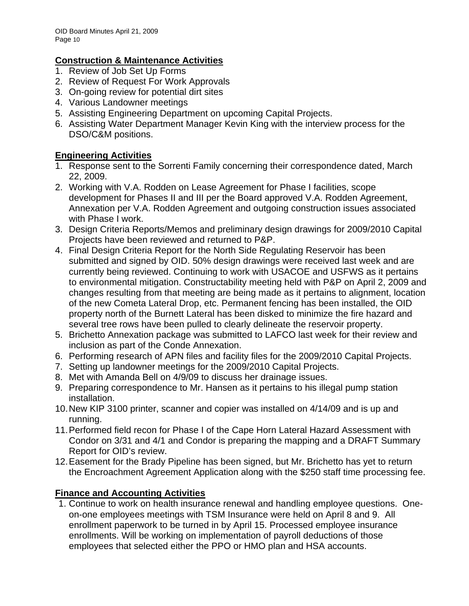# **Construction & Maintenance Activities**

- 1. Review of Job Set Up Forms
- 2. Review of Request For Work Approvals
- 3. On-going review for potential dirt sites
- 4. Various Landowner meetings
- 5. Assisting Engineering Department on upcoming Capital Projects.
- 6. Assisting Water Department Manager Kevin King with the interview process for the DSO/C&M positions.

# **Engineering Activities**

- 1. Response sent to the Sorrenti Family concerning their correspondence dated, March 22, 2009.
- 2. Working with V.A. Rodden on Lease Agreement for Phase I facilities, scope development for Phases II and III per the Board approved V.A. Rodden Agreement, Annexation per V.A. Rodden Agreement and outgoing construction issues associated with Phase I work.
- 3. Design Criteria Reports/Memos and preliminary design drawings for 2009/2010 Capital Projects have been reviewed and returned to P&P.
- 4. Final Design Criteria Report for the North Side Regulating Reservoir has been submitted and signed by OID. 50% design drawings were received last week and are currently being reviewed. Continuing to work with USACOE and USFWS as it pertains to environmental mitigation. Constructability meeting held with P&P on April 2, 2009 and changes resulting from that meeting are being made as it pertains to alignment, location of the new Cometa Lateral Drop, etc. Permanent fencing has been installed, the OID property north of the Burnett Lateral has been disked to minimize the fire hazard and several tree rows have been pulled to clearly delineate the reservoir property.
- 5. Brichetto Annexation package was submitted to LAFCO last week for their review and inclusion as part of the Conde Annexation.
- 6. Performing research of APN files and facility files for the 2009/2010 Capital Projects.
- 7. Setting up landowner meetings for the 2009/2010 Capital Projects.
- 8. Met with Amanda Bell on 4/9/09 to discuss her drainage issues.
- 9. Preparing correspondence to Mr. Hansen as it pertains to his illegal pump station installation.
- 10. New KIP 3100 printer, scanner and copier was installed on 4/14/09 and is up and running.
- 11. Performed field recon for Phase I of the Cape Horn Lateral Hazard Assessment with Condor on 3/31 and 4/1 and Condor is preparing the mapping and a DRAFT Summary Report for OID's review.
- 12. Easement for the Brady Pipeline has been signed, but Mr. Brichetto has yet to return the Encroachment Agreement Application along with the \$250 staff time processing fee.

# **Finance and Accounting Activities**

1. Continue to work on health insurance renewal and handling employee questions. Oneon-one employees meetings with TSM Insurance were held on April 8 and 9. All enrollment paperwork to be turned in by April 15. Processed employee insurance enrollments. Will be working on implementation of payroll deductions of those employees that selected either the PPO or HMO plan and HSA accounts.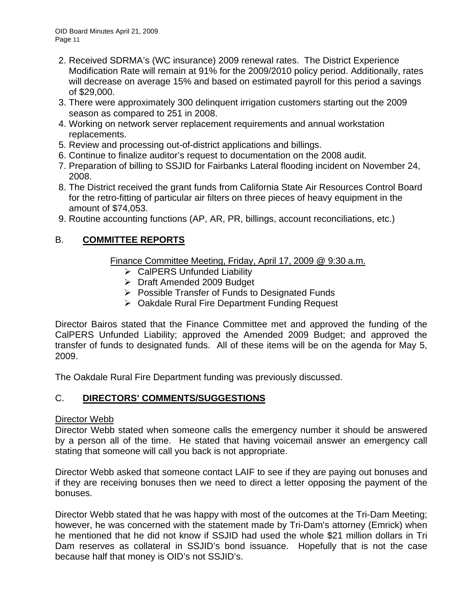- 2. Received SDRMA's (WC insurance) 2009 renewal rates. The District Experience Modification Rate will remain at 91% for the 2009/2010 policy period. Additionally, rates will decrease on average 15% and based on estimated payroll for this period a savings of \$29,000.
- 3. There were approximately 300 delinquent irrigation customers starting out the 2009 season as compared to 251 in 2008.
- 4. Working on network server replacement requirements and annual workstation replacements.
- 5. Review and processing out-of-district applications and billings.
- 6. Continue to finalize auditor's request to documentation on the 2008 audit.
- 7. Preparation of billing to SSJID for Fairbanks Lateral flooding incident on November 24, 2008.
- 8. The District received the grant funds from California State Air Resources Control Board for the retro-fitting of particular air filters on three pieces of heavy equipment in the amount of \$74,053.
- 9. Routine accounting functions (AP, AR, PR, billings, account reconciliations, etc.)

# B. **COMMITTEE REPORTS**

Finance Committee Meeting, Friday, April 17, 2009 @ 9:30 a.m.

- $\triangleright$  CalPERS Unfunded Liability
- ¾ Draft Amended 2009 Budget
- ¾ Possible Transfer of Funds to Designated Funds
- ¾ Oakdale Rural Fire Department Funding Request

Director Bairos stated that the Finance Committee met and approved the funding of the CalPERS Unfunded Liability; approved the Amended 2009 Budget; and approved the transfer of funds to designated funds. All of these items will be on the agenda for May 5, 2009.

The Oakdale Rural Fire Department funding was previously discussed.

# C. **DIRECTORS' COMMENTS/SUGGESTIONS**

# Director Webb

Director Webb stated when someone calls the emergency number it should be answered by a person all of the time. He stated that having voicemail answer an emergency call stating that someone will call you back is not appropriate.

Director Webb asked that someone contact LAIF to see if they are paying out bonuses and if they are receiving bonuses then we need to direct a letter opposing the payment of the bonuses.

Director Webb stated that he was happy with most of the outcomes at the Tri-Dam Meeting; however, he was concerned with the statement made by Tri-Dam's attorney (Emrick) when he mentioned that he did not know if SSJID had used the whole \$21 million dollars in Tri Dam reserves as collateral in SSJID's bond issuance. Hopefully that is not the case because half that money is OID's not SSJID's.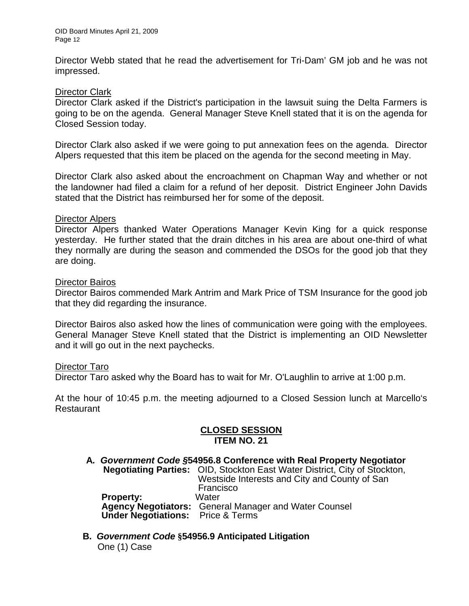Director Webb stated that he read the advertisement for Tri-Dam' GM job and he was not impressed.

#### Director Clark

Director Clark asked if the District's participation in the lawsuit suing the Delta Farmers is going to be on the agenda. General Manager Steve Knell stated that it is on the agenda for Closed Session today.

Director Clark also asked if we were going to put annexation fees on the agenda. Director Alpers requested that this item be placed on the agenda for the second meeting in May.

Director Clark also asked about the encroachment on Chapman Way and whether or not the landowner had filed a claim for a refund of her deposit. District Engineer John Davids stated that the District has reimbursed her for some of the deposit.

#### Director Alpers

Director Alpers thanked Water Operations Manager Kevin King for a quick response yesterday. He further stated that the drain ditches in his area are about one-third of what they normally are during the season and commended the DSOs for the good job that they are doing.

#### Director Bairos

Director Bairos commended Mark Antrim and Mark Price of TSM Insurance for the good job that they did regarding the insurance.

Director Bairos also asked how the lines of communication were going with the employees. General Manager Steve Knell stated that the District is implementing an OID Newsletter and it will go out in the next paychecks.

#### Director Taro

Director Taro asked why the Board has to wait for Mr. O'Laughlin to arrive at 1:00 p.m.

At the hour of 10:45 p.m. the meeting adjourned to a Closed Session lunch at Marcello's Restaurant

#### **CLOSED SESSION ITEM NO. 21**

- **A***. Government Code §***54956.8 Conference with Real Property Negotiator Negotiating Parties:** OID, Stockton East Water District, City of Stockton, Westside Interests and City and County of San Francisco **Property:** Water **Agency Negotiators:** General Manager and Water Counsel  **Under Negotiations:** Price & Terms
- **B.** *Government Code* **§54956.9 Anticipated Litigation**  One (1) Case